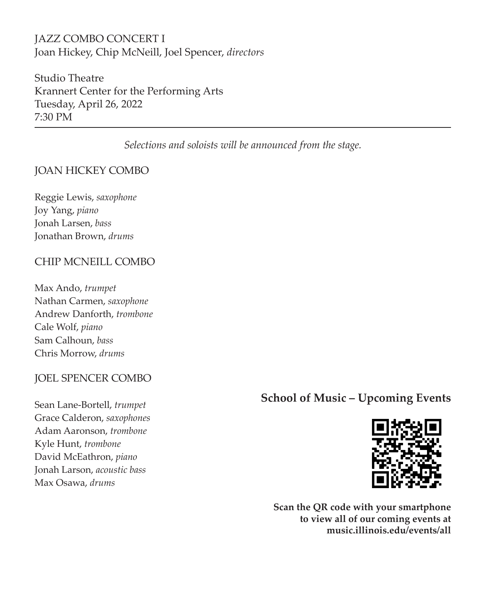# JAZZ COMBO CONCERT I Joan Hickey, Chip McNeill, Joel Spencer, *directors*

Studio Theatre Krannert Center for the Performing Arts Tuesday, April 26, 2022 7:30 PM

*Selections and soloists will be announced from the stage.*

## JOAN HICKEY COMBO

Ī

Reggie Lewis, *saxophone* Joy Yang, *piano* Jonah Larsen, *bass* Jonathan Brown, *drums*

## CHIP MCNEILL COMBO

Max Ando, *trumpet* Nathan Carmen, *saxophone* Andrew Danforth, *trombone* Cale Wolf, *piano* Sam Calhoun, *bass* Chris Morrow, *drums*

## JOEL SPENCER COMBO

Sean Lane-Bortell, *trumpet* Grace Calderon, *saxophones* Adam Aaronson, *trombone* Kyle Hunt, *trombone* David McEathron, *piano* Jonah Larson, *acoustic bass* Max Osawa, *drums*

# **School of Music – Upcoming Events**



**Scan the QR code with your smartphone to view all of our coming events at music.illinois.edu/events/all**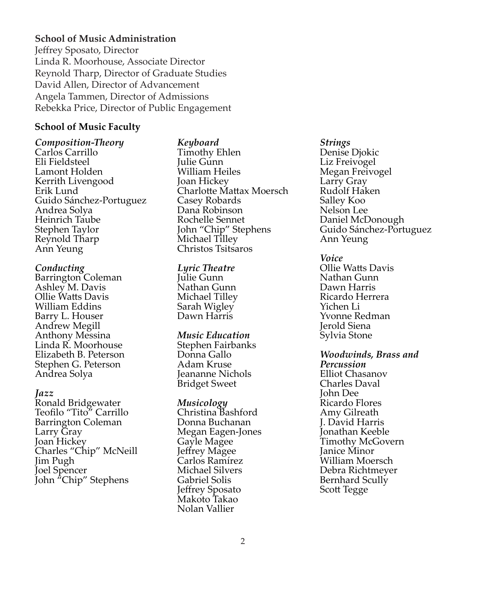## **School of Music Administration**

Jeffrey Sposato, Director Linda R. Moorhouse, Associate Director Reynold Tharp, Director of Graduate Studies David Allen, Director of Advancement Angela Tammen, Director of Admissions Rebekka Price, Director of Public Engagement

### **School of Music Faculty**

*Composition-Theory* Carlos Carrillo Eli Fieldsteel Lamont Holden Kerrith Livengood Erik Lund Guido Sánchez-Portuguez Andrea Solya Heinrich Taube Stephen Taylor Reynold Tharp Ann Yeung

#### *Conducting*

Barrington Coleman Ashley M. Davis Ollie Watts Davis William Eddins Barry L. Houser Andrew Megill Anthony Messina Linda R. Moorhouse Elizabeth B. Peterson Stephen G. Peterson Andrea Solya

#### *Jazz*

Ronald Bridgewater Teofilo "Tito" Carrillo Barrington Coleman Larry Gray Joan Hickey Charles "Chip" McNeill Jim Pugh Joel Spencer John "Chip" Stephens

## *Keyboard*

Timothy Ehlen Julie Gunn William Heiles Joan Hickey Charlotte Mattax Moersch Casey Robards Dana Robinson Rochelle Sennet John "Chip" Stephens Michael Tilley Christos Tsitsaros

#### *Lyric Theatre*

Julie Gunn Nathan Gunn Michael Tilley Sarah Wigley Dawn Harris

#### *Music Education*

Stephen Fairbanks Donna Gallo Adam Kruse Jeananne Nichols Bridget Sweet

### *Musicology*

Christina Bashford Donna Buchanan Megan Eagen-Jones Gayle Magee Jeffrey Magee Carlos Ramírez Michael Silvers Gabriel Solis Jeffrey Sposato Makoto Takao Nolan Vallier

#### *Strings*

Denise Djokic Liz Freivogel Megan Freivogel Larry Gray Rudolf Haken Salley Koo Nelson Lee Daniel McDonough Guido Sánchez-Portuguez Ann Yeung

*Voice* Ollie Watts Davis Nathan Gunn Dawn Harris Ricardo Herrera Yichen Li Yvonne Redman Jerold Siena Sylvia Stone

*Woodwinds, Brass and Percussion* Elliot Chasanov Charles Daval John Dee Ricardo Flores Amy Gilreath J. David Harris Jonathan Keeble Timothy McGovern Janice Minor William Moersch Debra Richtmeyer Bernhard Scully Scott Tegge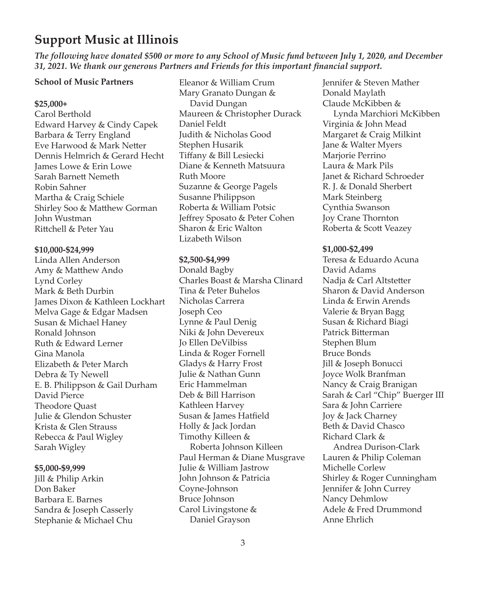# **Support Music at Illinois**

*The following have donated \$500 or more to any School of Music fund between July 1, 2020, and December 31, 2021. We thank our generous Partners and Friends for this important financial support.*

#### **School of Music Partners**

#### **\$25,000+**

Carol Berthold Edward Harvey & Cindy Capek Barbara & Terry England Eve Harwood & Mark Netter Dennis Helmrich & Gerard Hecht James Lowe & Erin Lowe Sarah Barnett Nemeth Robin Sahner Martha & Craig Schiele Shirley Soo & Matthew Gorman John Wustman Rittchell & Peter Yau

#### **\$10,000-\$24,999**

Linda Allen Anderson Amy & Matthew Ando Lynd Corley Mark & Beth Durbin James Dixon & Kathleen Lockhart Melva Gage & Edgar Madsen Susan & Michael Haney Ronald Johnson Ruth & Edward Lerner Gina Manola Elizabeth & Peter March Debra & Ty Newell E. B. Philippson & Gail Durham David Pierce Theodore Quast Julie & Glendon Schuster Krista & Glen Strauss Rebecca & Paul Wigley Sarah Wigley

#### **\$5,000-\$9,999**

Jill & Philip Arkin Don Baker Barbara E. Barnes Sandra & Joseph Casserly Stephanie & Michael Chu

Eleanor & William Crum Mary Granato Dungan & David Dungan Maureen & Christopher Durack Daniel Feldt Judith & Nicholas Good Stephen Husarik Tiffany & Bill Lesiecki Diane & Kenneth Matsuura Ruth Moore Suzanne & George Pagels Susanne Philippson Roberta & William Potsic Jeffrey Sposato & Peter Cohen Sharon & Eric Walton Lizabeth Wilson

#### **\$2,500-\$4,999**

Donald Bagby Charles Boast & Marsha Clinard Tina & Peter Buhelos Nicholas Carrera Joseph Ceo Lynne & Paul Denig Niki & John Devereux Jo Ellen DeVilbiss Linda & Roger Fornell Gladys & Harry Frost Julie & Nathan Gunn Eric Hammelman Deb & Bill Harrison Kathleen Harvey Susan & James Hatfield Holly & Jack Jordan Timothy Killeen & Roberta Johnson Killeen Paul Herman & Diane Musgrave Julie & William Jastrow John Johnson & Patricia Coyne-Johnson Bruce Johnson Carol Livingstone & Daniel Grayson

Jennifer & Steven Mather Donald Maylath Claude McKibben & Lynda Marchiori McKibben Virginia & John Mead Margaret & Craig Milkint Jane & Walter Myers Marjorie Perrino Laura & Mark Pils Janet & Richard Schroeder R. J. & Donald Sherbert Mark Steinberg Cynthia Swanson Joy Crane Thornton Roberta & Scott Veazey

#### **\$1,000-\$2,499**

Teresa & Eduardo Acuna David Adams Nadja & Carl Altstetter Sharon & David Anderson Linda & Erwin Arends Valerie & Bryan Bagg Susan & Richard Biagi Patrick Bitterman Stephen Blum Bruce Bonds Jill & Joseph Bonucci Joyce Wolk Branfman Nancy & Craig Branigan Sarah & Carl "Chip" Buerger III Sara & John Carriere Joy & Jack Charney Beth & David Chasco Richard Clark & Andrea Durison-Clark Lauren & Philip Coleman Michelle Corlew Shirley & Roger Cunningham Jennifer & John Currey Nancy Dehmlow Adele & Fred Drummond Anne Ehrlich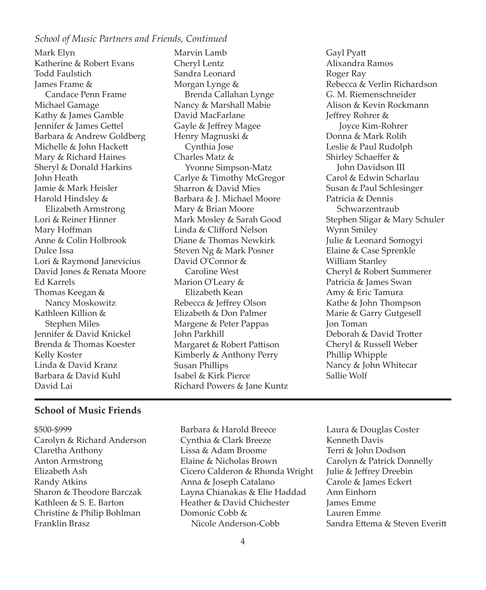### *School of Music Partners and Friends, Continued*

Mark Elyn Katherine & Robert Evans Todd Faulstich James Frame & Candace Penn Frame Michael Gamage Kathy & James Gamble Jennifer & James Gettel Barbara & Andrew Goldberg Michelle & John Hackett Mary & Richard Haines Sheryl & Donald Harkins John Heath Jamie & Mark Heisler Harold Hindsley & Elizabeth Armstrong Lori & Reiner Hinner Mary Hoffman Anne & Colin Holbrook Dulce Issa Lori & Raymond Janevicius David Jones & Renata Moore Ed Karrels Thomas Keegan & Nancy Moskowitz Kathleen Killion & Stephen Miles Jennifer & David Knickel Brenda & Thomas Koester Kelly Koster Linda & David Kranz Barbara & David Kuhl David Lai

Marvin Lamb Cheryl Lentz Sandra Leonard Morgan Lynge & Brenda Callahan Lynge Nancy & Marshall Mabie David MacFarlane Gayle & Jeffrey Magee Henry Magnuski & Cynthia Jose Charles Matz & Yvonne Simpson-Matz Carlye & Timothy McGregor Sharron & David Mies Barbara & J. Michael Moore Mary & Brian Moore Mark Mosley & Sarah Good Linda & Clifford Nelson Diane & Thomas Newkirk Steven Ng & Mark Posner David O'Connor & Caroline West Marion O'Leary & Elizabeth Kean Rebecca & Jeffrey Olson Elizabeth & Don Palmer Margene & Peter Pappas John Parkhill Margaret & Robert Pattison Kimberly & Anthony Perry Susan Phillips Isabel & Kirk Pierce Richard Powers & Jane Kuntz

Gayl Pyatt Alixandra Ramos Roger Ray Rebecca & Verlin Richardson G. M. Riemenschneider Alison & Kevin Rockmann Jeffrey Rohrer & Joyce Kim-Rohrer Donna & Mark Rolih Leslie & Paul Rudolph Shirley Schaeffer & John Davidson III Carol & Edwin Scharlau Susan & Paul Schlesinger Patricia & Dennis Schwarzentraub Stephen Sligar & Mary Schuler Wynn Smiley Julie & Leonard Somogyi Elaine & Case Sprenkle William Stanley Cheryl & Robert Summerer Patricia & James Swan Amy & Eric Tamura Kathe & John Thompson Marie & Garry Gutgesell Jon Toman Deborah & David Trotter Cheryl & Russell Weber Phillip Whipple Nancy & John Whitecar Sallie Wolf

## **School of Music Friends**

- \$500-\$999 Carolyn & Richard Anderson Claretha Anthony Anton Armstrong Elizabeth Ash Randy Atkins Sharon & Theodore Barczak Kathleen & S. E. Barton Christine & Philip Bohlman Franklin Brasz
- Barbara & Harold Breece Cynthia & Clark Breeze Lissa & Adam Broome Elaine & Nicholas Brown Cicero Calderon & Rhonda Wright Anna & Joseph Catalano Layna Chianakas & Elie Haddad Heather & David Chichester Domonic Cobb & Nicole Anderson-Cobb
- Laura & Douglas Coster Kenneth Davis Terri & John Dodson Carolyn & Patrick Donnelly Julie & Jeffrey Dreebin Carole & James Eckert Ann Einhorn James Emme Lauren Emme Sandra Ettema & Steven Everitt